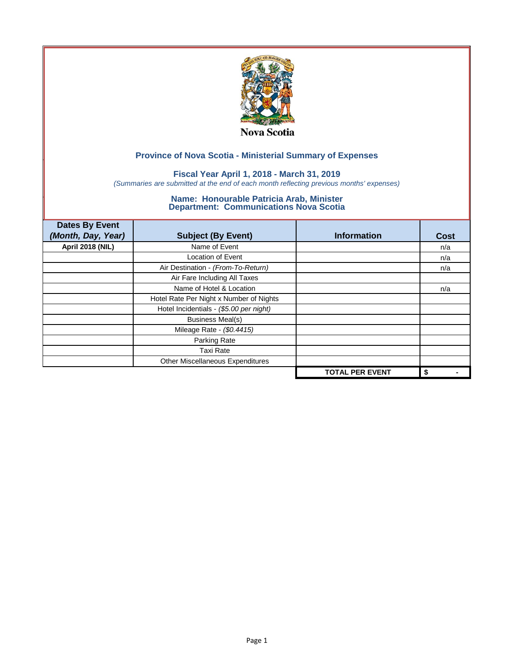

### **Fiscal Year April 1, 2018 - March 31, 2019**

*(Summaries are submitted at the end of each month reflecting previous months' expenses)*

| <b>Dates By Event</b>   |                                         |                        |      |
|-------------------------|-----------------------------------------|------------------------|------|
| (Month, Day, Year)      | <b>Subject (By Event)</b>               | <b>Information</b>     | Cost |
| <b>April 2018 (NIL)</b> | Name of Event                           |                        | n/a  |
|                         | <b>Location of Event</b>                |                        | n/a  |
|                         | Air Destination - (From-To-Return)      |                        | n/a  |
|                         | Air Fare Including All Taxes            |                        |      |
|                         | Name of Hotel & Location                |                        | n/a  |
|                         | Hotel Rate Per Night x Number of Nights |                        |      |
|                         | Hotel Incidentials - (\$5.00 per night) |                        |      |
|                         | <b>Business Meal(s)</b>                 |                        |      |
|                         | Mileage Rate - (\$0.4415)               |                        |      |
|                         | Parking Rate                            |                        |      |
|                         | Taxi Rate                               |                        |      |
|                         | Other Miscellaneous Expenditures        |                        |      |
|                         |                                         | <b>TOTAL PER EVENT</b> | \$   |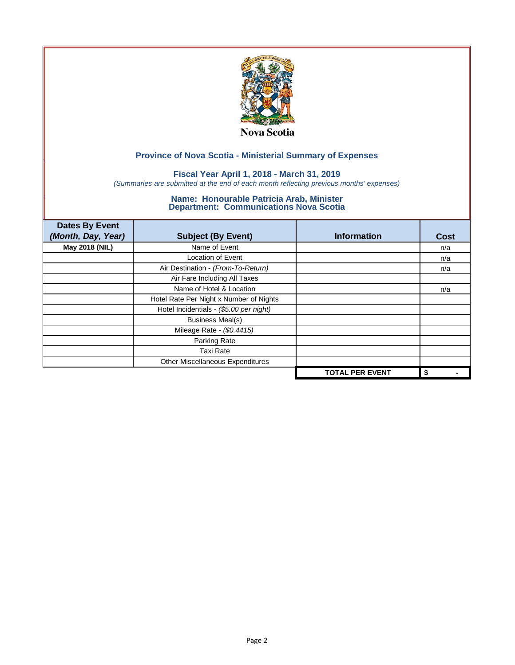

### **Fiscal Year April 1, 2018 - March 31, 2019**

*(Summaries are submitted at the end of each month reflecting previous months' expenses)*

| <b>Dates By Event</b><br>(Month, Day, Year) | <b>Subject (By Event)</b>               | <b>Information</b>     | Cost |
|---------------------------------------------|-----------------------------------------|------------------------|------|
| May 2018 (NIL)                              | Name of Event                           |                        | n/a  |
|                                             | <b>Location of Event</b>                |                        | n/a  |
|                                             | Air Destination - (From-To-Return)      |                        | n/a  |
|                                             | Air Fare Including All Taxes            |                        |      |
|                                             | Name of Hotel & Location                |                        | n/a  |
|                                             | Hotel Rate Per Night x Number of Nights |                        |      |
|                                             | Hotel Incidentials - (\$5.00 per night) |                        |      |
|                                             | <b>Business Meal(s)</b>                 |                        |      |
|                                             | Mileage Rate - (\$0.4415)               |                        |      |
|                                             | Parking Rate                            |                        |      |
|                                             | <b>Taxi Rate</b>                        |                        |      |
|                                             | Other Miscellaneous Expenditures        |                        |      |
|                                             |                                         | <b>TOTAL PER EVENT</b> | \$   |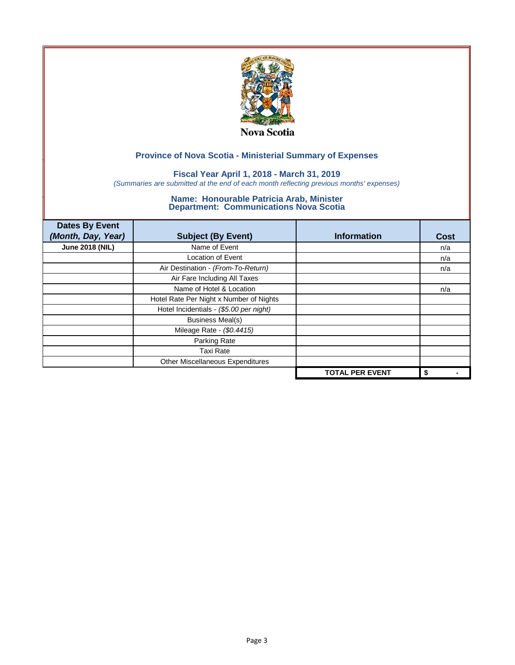

### **Fiscal Year April 1, 2018 - March 31, 2019**

*(Summaries are submitted at the end of each month reflecting previous months' expenses)*

| <b>Dates By Event</b><br>(Month, Day, Year) | <b>Subject (By Event)</b>               | <b>Information</b>     | <b>Cost</b> |
|---------------------------------------------|-----------------------------------------|------------------------|-------------|
| <b>June 2018 (NIL)</b>                      | Name of Event                           |                        | n/a         |
|                                             | <b>Location of Event</b>                |                        | n/a         |
|                                             | Air Destination - (From-To-Return)      |                        | n/a         |
|                                             | Air Fare Including All Taxes            |                        |             |
|                                             | Name of Hotel & Location                |                        | n/a         |
|                                             | Hotel Rate Per Night x Number of Nights |                        |             |
|                                             | Hotel Incidentials - (\$5.00 per night) |                        |             |
|                                             | <b>Business Meal(s)</b>                 |                        |             |
|                                             | Mileage Rate - (\$0.4415)               |                        |             |
|                                             | Parking Rate                            |                        |             |
|                                             | Taxi Rate                               |                        |             |
|                                             | Other Miscellaneous Expenditures        |                        |             |
|                                             |                                         | <b>TOTAL PER EVENT</b> | \$          |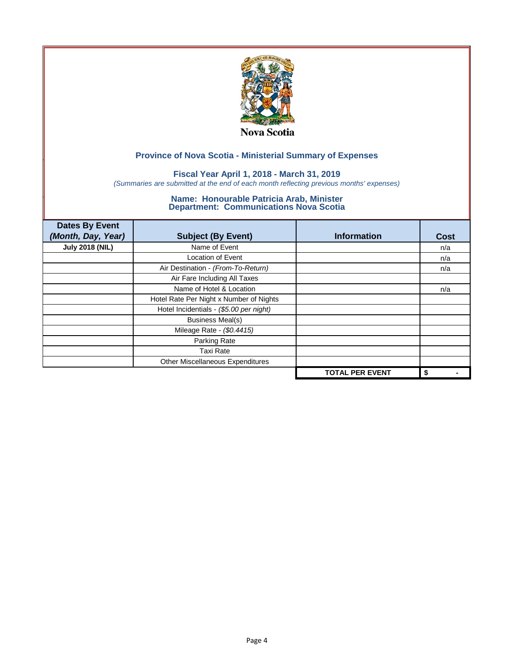

### **Fiscal Year April 1, 2018 - March 31, 2019**

*(Summaries are submitted at the end of each month reflecting previous months' expenses)*

| <b>Dates By Event</b><br>(Month, Day, Year) | <b>Subject (By Event)</b>               | <b>Information</b>     | Cost |
|---------------------------------------------|-----------------------------------------|------------------------|------|
| <b>July 2018 (NIL)</b>                      | Name of Event                           |                        | n/a  |
|                                             | <b>Location of Event</b>                |                        | n/a  |
|                                             | Air Destination - (From-To-Return)      |                        | n/a  |
|                                             | Air Fare Including All Taxes            |                        |      |
|                                             | Name of Hotel & Location                |                        | n/a  |
|                                             | Hotel Rate Per Night x Number of Nights |                        |      |
|                                             | Hotel Incidentials - (\$5.00 per night) |                        |      |
|                                             | <b>Business Meal(s)</b>                 |                        |      |
|                                             | Mileage Rate - (\$0.4415)               |                        |      |
|                                             | Parking Rate                            |                        |      |
|                                             | <b>Taxi Rate</b>                        |                        |      |
|                                             | Other Miscellaneous Expenditures        |                        |      |
|                                             |                                         | <b>TOTAL PER EVENT</b> | \$   |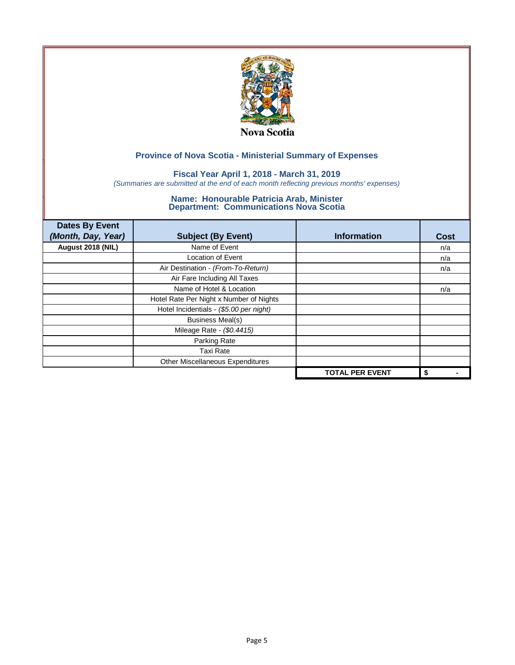

### **Fiscal Year April 1, 2018 - March 31, 2019**

*(Summaries are submitted at the end of each month reflecting previous months' expenses)*

| <b>Dates By Event</b><br>(Month, Day, Year) | <b>Subject (By Event)</b>               | <b>Information</b>     | <b>Cost</b> |
|---------------------------------------------|-----------------------------------------|------------------------|-------------|
| August 2018 (NIL)                           | Name of Event                           |                        | n/a         |
|                                             | <b>Location of Event</b>                |                        | n/a         |
|                                             | Air Destination - (From-To-Return)      |                        | n/a         |
|                                             | Air Fare Including All Taxes            |                        |             |
|                                             | Name of Hotel & Location                |                        | n/a         |
|                                             | Hotel Rate Per Night x Number of Nights |                        |             |
|                                             | Hotel Incidentials - (\$5.00 per night) |                        |             |
|                                             | <b>Business Meal(s)</b>                 |                        |             |
|                                             | Mileage Rate - (\$0.4415)               |                        |             |
|                                             | Parking Rate                            |                        |             |
|                                             | Taxi Rate                               |                        |             |
|                                             | Other Miscellaneous Expenditures        |                        |             |
|                                             |                                         | <b>TOTAL PER EVENT</b> | \$          |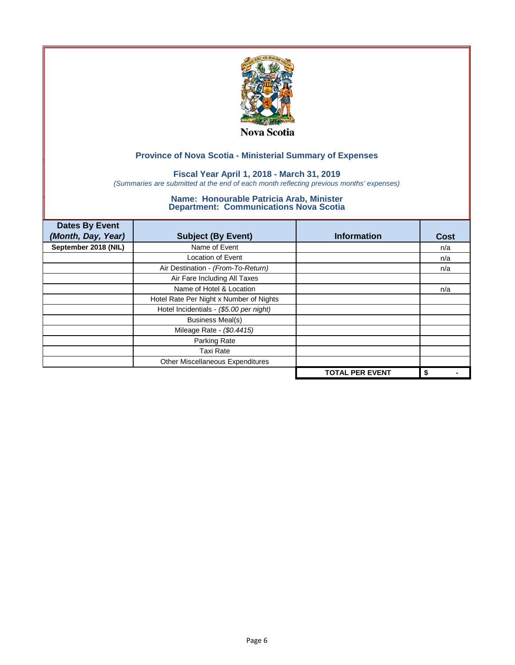

### **Fiscal Year April 1, 2018 - March 31, 2019**

*(Summaries are submitted at the end of each month reflecting previous months' expenses)*

| <b>Dates By Event</b><br>(Month, Day, Year) | <b>Subject (By Event)</b>               | <b>Information</b>     | <b>Cost</b> |
|---------------------------------------------|-----------------------------------------|------------------------|-------------|
| September 2018 (NIL)                        | Name of Event                           |                        | n/a         |
|                                             | <b>Location of Event</b>                |                        | n/a         |
|                                             | Air Destination - (From-To-Return)      |                        | n/a         |
|                                             | Air Fare Including All Taxes            |                        |             |
|                                             | Name of Hotel & Location                |                        | n/a         |
|                                             | Hotel Rate Per Night x Number of Nights |                        |             |
|                                             | Hotel Incidentials - (\$5.00 per night) |                        |             |
|                                             | <b>Business Meal(s)</b>                 |                        |             |
|                                             | Mileage Rate - (\$0.4415)               |                        |             |
|                                             | Parking Rate                            |                        |             |
|                                             | Taxi Rate                               |                        |             |
|                                             | Other Miscellaneous Expenditures        |                        |             |
|                                             |                                         | <b>TOTAL PER EVENT</b> | \$          |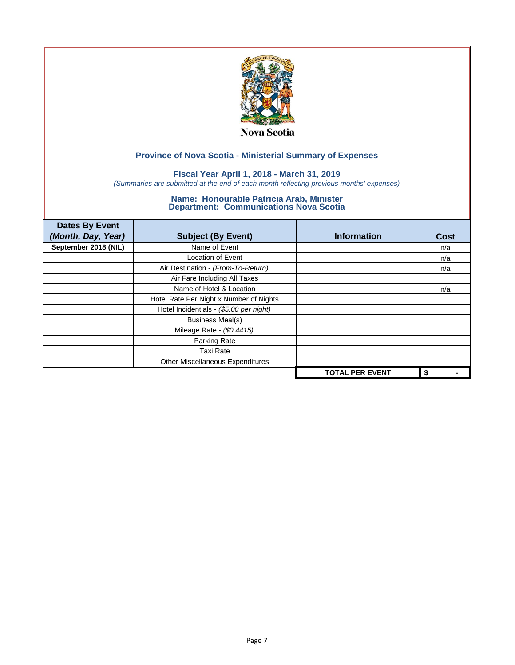

### **Fiscal Year April 1, 2018 - March 31, 2019**

*(Summaries are submitted at the end of each month reflecting previous months' expenses)*

| <b>Dates By Event</b><br>(Month, Day, Year) | <b>Subject (By Event)</b>               | <b>Information</b>     | <b>Cost</b> |
|---------------------------------------------|-----------------------------------------|------------------------|-------------|
| September 2018 (NIL)                        | Name of Event                           |                        | n/a         |
|                                             | <b>Location of Event</b>                |                        | n/a         |
|                                             | Air Destination - (From-To-Return)      |                        | n/a         |
|                                             | Air Fare Including All Taxes            |                        |             |
|                                             | Name of Hotel & Location                |                        | n/a         |
|                                             | Hotel Rate Per Night x Number of Nights |                        |             |
|                                             | Hotel Incidentials - (\$5.00 per night) |                        |             |
|                                             | <b>Business Meal(s)</b>                 |                        |             |
|                                             | Mileage Rate - (\$0.4415)               |                        |             |
|                                             | Parking Rate                            |                        |             |
|                                             | Taxi Rate                               |                        |             |
|                                             | Other Miscellaneous Expenditures        |                        |             |
|                                             |                                         | <b>TOTAL PER EVENT</b> | \$          |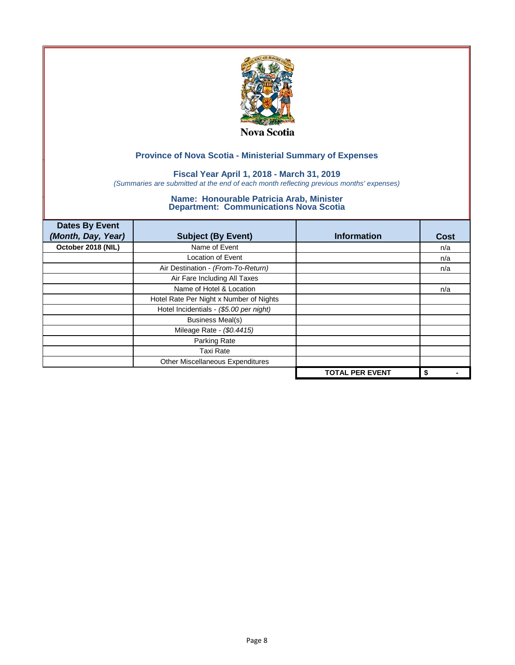

### **Fiscal Year April 1, 2018 - March 31, 2019**

*(Summaries are submitted at the end of each month reflecting previous months' expenses)*

| <b>Dates By Event</b><br>(Month, Day, Year) | <b>Subject (By Event)</b>               | <b>Information</b>     | <b>Cost</b> |
|---------------------------------------------|-----------------------------------------|------------------------|-------------|
| October 2018 (NIL)                          | Name of Event                           |                        | n/a         |
|                                             | <b>Location of Event</b>                |                        | n/a         |
|                                             | Air Destination - (From-To-Return)      |                        | n/a         |
|                                             | Air Fare Including All Taxes            |                        |             |
|                                             | Name of Hotel & Location                |                        | n/a         |
|                                             | Hotel Rate Per Night x Number of Nights |                        |             |
|                                             | Hotel Incidentials - (\$5.00 per night) |                        |             |
|                                             | <b>Business Meal(s)</b>                 |                        |             |
|                                             | Mileage Rate - (\$0.4415)               |                        |             |
|                                             | Parking Rate                            |                        |             |
|                                             | Taxi Rate                               |                        |             |
|                                             | Other Miscellaneous Expenditures        |                        |             |
|                                             |                                         | <b>TOTAL PER EVENT</b> | \$          |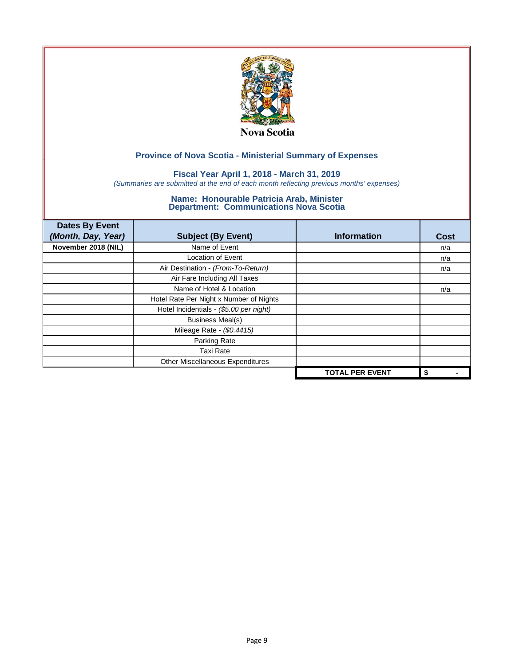

### **Fiscal Year April 1, 2018 - March 31, 2019**

*(Summaries are submitted at the end of each month reflecting previous months' expenses)*

| <b>Dates By Event</b><br>(Month, Day, Year) | <b>Subject (By Event)</b>               | <b>Information</b>     | <b>Cost</b> |
|---------------------------------------------|-----------------------------------------|------------------------|-------------|
| November 2018 (NIL)                         | Name of Event                           |                        | n/a         |
|                                             | <b>Location of Event</b>                |                        | n/a         |
|                                             | Air Destination - (From-To-Return)      |                        | n/a         |
|                                             | Air Fare Including All Taxes            |                        |             |
|                                             | Name of Hotel & Location                |                        | n/a         |
|                                             | Hotel Rate Per Night x Number of Nights |                        |             |
|                                             | Hotel Incidentials - (\$5.00 per night) |                        |             |
|                                             | <b>Business Meal(s)</b>                 |                        |             |
|                                             | Mileage Rate - (\$0.4415)               |                        |             |
|                                             | Parking Rate                            |                        |             |
|                                             | Taxi Rate                               |                        |             |
|                                             | Other Miscellaneous Expenditures        |                        |             |
|                                             |                                         | <b>TOTAL PER EVENT</b> | \$          |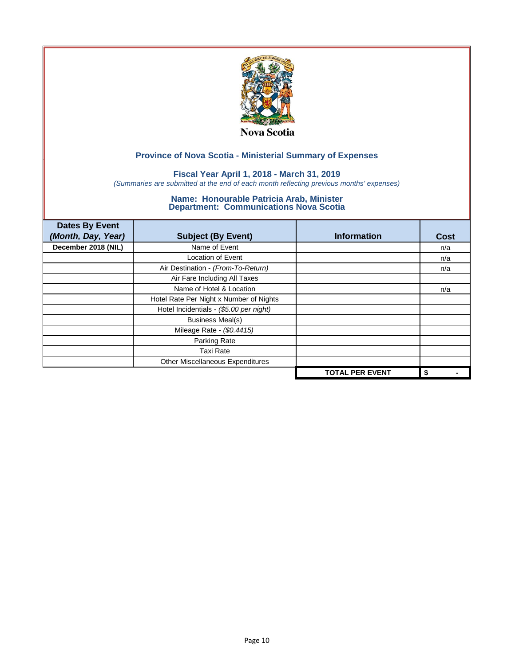

### **Fiscal Year April 1, 2018 - March 31, 2019**

*(Summaries are submitted at the end of each month reflecting previous months' expenses)*

| <b>Dates By Event</b><br>(Month, Day, Year) | <b>Subject (By Event)</b>               | <b>Information</b>     | <b>Cost</b> |
|---------------------------------------------|-----------------------------------------|------------------------|-------------|
| December 2018 (NIL)                         | Name of Event                           |                        | n/a         |
|                                             | <b>Location of Event</b>                |                        | n/a         |
|                                             | Air Destination - (From-To-Return)      |                        | n/a         |
|                                             | Air Fare Including All Taxes            |                        |             |
|                                             | Name of Hotel & Location                |                        | n/a         |
|                                             | Hotel Rate Per Night x Number of Nights |                        |             |
|                                             | Hotel Incidentials - (\$5.00 per night) |                        |             |
|                                             | <b>Business Meal(s)</b>                 |                        |             |
|                                             | Mileage Rate - (\$0.4415)               |                        |             |
|                                             | Parking Rate                            |                        |             |
|                                             | <b>Taxi Rate</b>                        |                        |             |
|                                             | Other Miscellaneous Expenditures        |                        |             |
|                                             |                                         | <b>TOTAL PER EVENT</b> | \$          |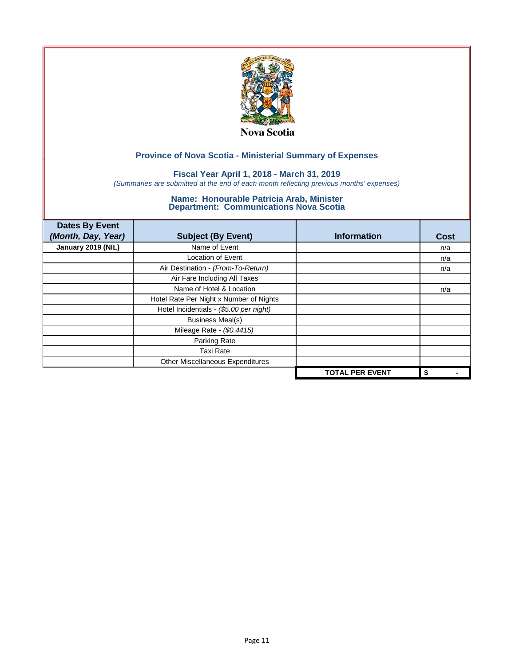

### **Fiscal Year April 1, 2018 - March 31, 2019**

*(Summaries are submitted at the end of each month reflecting previous months' expenses)*

| <b>Dates By Event</b><br>(Month, Day, Year) | <b>Subject (By Event)</b>               | <b>Information</b>     | <b>Cost</b> |
|---------------------------------------------|-----------------------------------------|------------------------|-------------|
| January 2019 (NIL)                          | Name of Event                           |                        | n/a         |
|                                             | <b>Location of Event</b>                |                        | n/a         |
|                                             | Air Destination - (From-To-Return)      |                        | n/a         |
|                                             | Air Fare Including All Taxes            |                        |             |
|                                             | Name of Hotel & Location                |                        | n/a         |
|                                             | Hotel Rate Per Night x Number of Nights |                        |             |
|                                             | Hotel Incidentials - (\$5.00 per night) |                        |             |
|                                             | <b>Business Meal(s)</b>                 |                        |             |
|                                             | Mileage Rate - (\$0.4415)               |                        |             |
|                                             | Parking Rate                            |                        |             |
|                                             | Taxi Rate                               |                        |             |
|                                             | Other Miscellaneous Expenditures        |                        |             |
|                                             |                                         | <b>TOTAL PER EVENT</b> | \$          |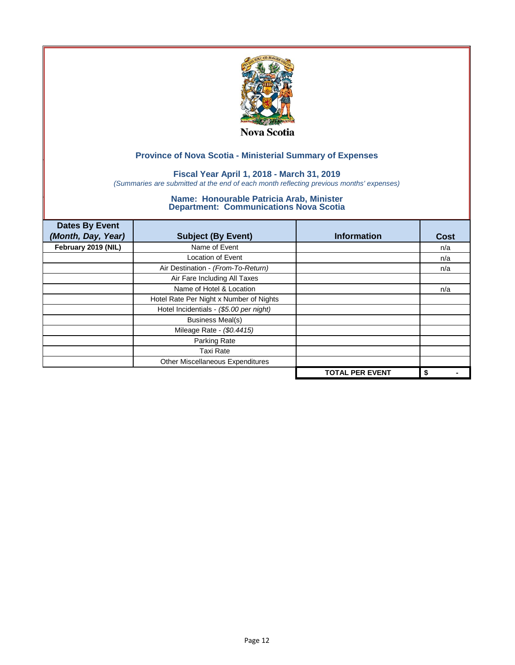

### **Fiscal Year April 1, 2018 - March 31, 2019**

*(Summaries are submitted at the end of each month reflecting previous months' expenses)*

| <b>Dates By Event</b><br>(Month, Day, Year) | <b>Subject (By Event)</b>               | <b>Information</b>     | <b>Cost</b> |
|---------------------------------------------|-----------------------------------------|------------------------|-------------|
| February 2019 (NIL)                         | Name of Event                           |                        | n/a         |
|                                             | <b>Location of Event</b>                |                        | n/a         |
|                                             | Air Destination - (From-To-Return)      |                        | n/a         |
|                                             | Air Fare Including All Taxes            |                        |             |
|                                             | Name of Hotel & Location                |                        | n/a         |
|                                             | Hotel Rate Per Night x Number of Nights |                        |             |
|                                             | Hotel Incidentials - (\$5.00 per night) |                        |             |
|                                             | <b>Business Meal(s)</b>                 |                        |             |
|                                             | Mileage Rate - (\$0.4415)               |                        |             |
|                                             | Parking Rate                            |                        |             |
|                                             | Taxi Rate                               |                        |             |
|                                             | Other Miscellaneous Expenditures        |                        |             |
|                                             |                                         | <b>TOTAL PER EVENT</b> | \$          |